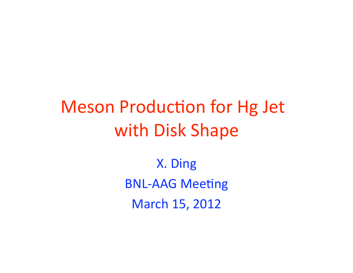# **Meson Production for Hg Jet** with Disk Shape

X. Ding **BNL-AAG Meeting** March 15, 2012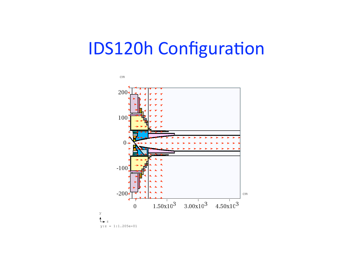## **IDS120h Configuration**

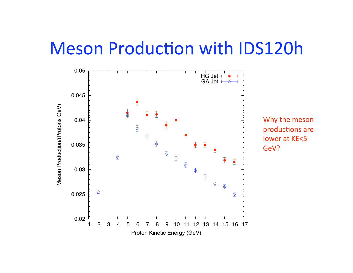### Meson Production with IDS120h



Why
the
meson productions are lower
at
KE<5 GeV?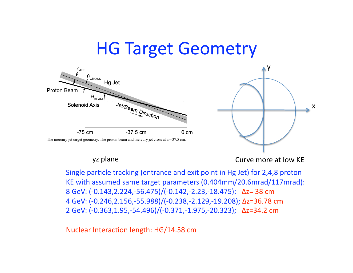### HG
Target
Geometry





yz
plane Curve
more
at
low
KE

Single particle tracking (entrance and exit point in Hg Jet) for 2,4,8 proton KE
with
assumed
same
target
parameters
(0.404mm/20.6mrad/117mrad): 8
GeV:
(‐0.143,2.224,‐56.475)/(‐0.142,‐2.23,‐18.475);

Δz=
38
cm 4
GeV:
(‐0.246,2.156,‐55.988)/(‐0.238,‐2.129,‐19.208);
Δz=36.78
cm 2
GeV:
(‐0.363,1.95,‐54.496)/(‐0.371,‐1.975,‐20.323);

Δz=34.2
cm

Nuclear Interaction length: HG/14.58 cm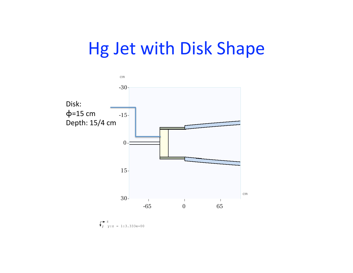## Hg
Jet
with
Disk
Shape



 $y:z = 1:3.333e+00$ z y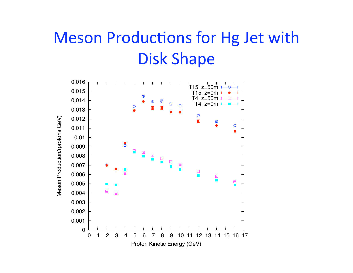## Meson Productions for Hg Jet with Disk
Shape